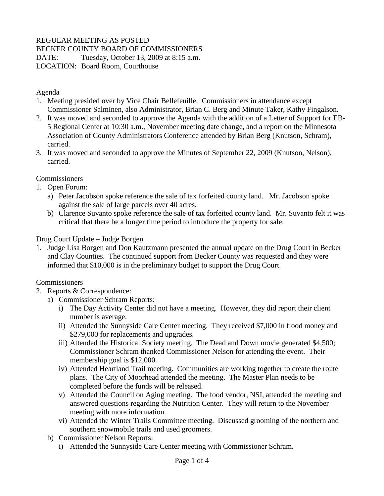# REGULAR MEETING AS POSTED

BECKER COUNTY BOARD OF COMMISSIONERS

DATE: Tuesday, October 13, 2009 at 8:15 a.m.

LOCATION: Board Room, Courthouse

Agenda

- 1. Meeting presided over by Vice Chair Bellefeuille. Commissioners in attendance except Commissioner Salminen, also Administrator, Brian C. Berg and Minute Taker, Kathy Fingalson.
- 2. It was moved and seconded to approve the Agenda with the addition of a Letter of Support for EB-5 Regional Center at 10:30 a.m., November meeting date change, and a report on the Minnesota Association of County Administrators Conference attended by Brian Berg (Knutson, Schram), carried.
- 3. It was moved and seconded to approve the Minutes of September 22, 2009 (Knutson, Nelson), carried.

**Commissioners** 

- 1. Open Forum:
	- a) Peter Jacobson spoke reference the sale of tax forfeited county land. Mr. Jacobson spoke against the sale of large parcels over 40 acres.
	- b) Clarence Suvanto spoke reference the sale of tax forfeited county land. Mr. Suvanto felt it was critical that there be a longer time period to introduce the property for sale.

Drug Court Update – Judge Borgen

1. Judge Lisa Borgen and Don Kautzmann presented the annual update on the Drug Court in Becker and Clay Counties. The continued support from Becker County was requested and they were informed that \$10,000 is in the preliminary budget to support the Drug Court.

**Commissioners** 

- 2. Reports & Correspondence:
	- a) Commissioner Schram Reports:
		- i) The Day Activity Center did not have a meeting. However, they did report their client number is average.
		- ii) Attended the Sunnyside Care Center meeting. They received \$7,000 in flood money and \$279,000 for replacements and upgrades.
		- iii) Attended the Historical Society meeting. The Dead and Down movie generated \$4,500; Commissioner Schram thanked Commissioner Nelson for attending the event. Their membership goal is \$12,000.
		- iv) Attended Heartland Trail meeting. Communities are working together to create the route plans. The City of Moorhead attended the meeting. The Master Plan needs to be completed before the funds will be released.
		- v) Attended the Council on Aging meeting. The food vendor, NSI, attended the meeting and answered questions regarding the Nutrition Center. They will return to the November meeting with more information.
		- vi) Attended the Winter Trails Committee meeting. Discussed grooming of the northern and southern snowmobile trails and used groomers.
	- b) Commissioner Nelson Reports:
		- i) Attended the Sunnyside Care Center meeting with Commissioner Schram.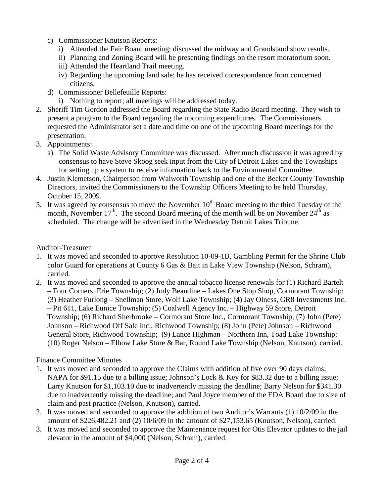- c) Commissioner Knutson Reports:
	- i) Attended the Fair Board meeting; discussed the midway and Grandstand show results.
	- ii) Planning and Zoning Board will be presenting findings on the resort moratorium soon.
	- iii) Attended the Heartland Trail meeting.
	- iv) Regarding the upcoming land sale; he has received correspondence from concerned citizens.
- d) Commissioner Bellefeuille Reports:
	- i) Nothing to report; all meetings will be addressed today.
- 2. Sheriff Tim Gordon addressed the Board regarding the State Radio Board meeting. They wish to present a program to the Board regarding the upcoming expenditures. The Commissioners requested the Administrator set a date and time on one of the upcoming Board meetings for the presentation.
- 3. Appointments:
	- a) The Solid Waste Advisory Committee was discussed. After much discussion it was agreed by consensus to have Steve Skoog seek input from the City of Detroit Lakes and the Townships for setting up a system to receive information back to the Environmental Committee.
- 4. Justin Klemetson, Chairperson from Walworth Township and one of the Becker County Township Directors, invited the Commissioners to the Township Officers Meeting to be held Thursday, October 15, 2009.
- 5. It was agreed by consensus to move the November  $10<sup>th</sup>$  Board meeting to the third Tuesday of the month, November  $17<sup>th</sup>$ . The second Board meeting of the month will be on November  $24<sup>th</sup>$  as scheduled. The change will be advertised in the Wednesday Detroit Lakes Tribune.

Auditor-Treasurer

- 1. It was moved and seconded to approve Resolution 10-09-1B, Gambling Permit for the Shrine Club color Guard for operations at County 6 Gas & Bait in Lake View Township (Nelson, Schram), carried.
- 2. It was moved and seconded to approve the annual tobacco license renewals for (1) Richard Bartelt – Four Corners, Erie Township; (2) Jody Beaudine – Lakes One Stop Shop, Cormorant Township; (3) Heather Furlong – Snellman Store, Wolf Lake Township; (4) Jay Olness, GR8 Investments Inc. – Pit 611, Lake Eunice Township; (5) Coalwell Agency Inc. – Highway 59 Store, Detroit Township; (6) Richard Sherbrooke – Cormorant Store Inc., Cormorant Township; (7) John (Pete) Johnson – Richwood Off Sale Inc., Richwood Township; (8) John (Pete) Johnson – Richwood General Store, Richwood Township; (9) Lance Highman – Northern Inn, Toad Lake Township; (10) Roger Nelson – Elbow Lake Store & Bar, Round Lake Township (Nelson, Knutson), carried.

# Finance Committee Minutes

- 1. It was moved and seconded to approve the Claims with addition of five over 90 days claims; NAPA for \$91.15 due to a billing issue; Johnson's Lock & Key for \$83.32 due to a billing issue; Larry Knutson for \$1,103.10 due to inadvertently missing the deadline; Barry Nelson for \$341.30 due to inadvertently missing the deadline; and Paul Joyce member of the EDA Board due to size of claim and past practice (Nelson, Knutson), carried.
- 2. It was moved and seconded to approve the addition of two Auditor's Warrants (1) 10/2/09 in the amount of \$226,482.21 and (2) 10/6/09 in the amount of \$27,153.65 (Knutson, Nelson), carried.
- 3. It was moved and seconded to approve the Maintenance request for Otis Elevator updates to the jail elevator in the amount of \$4,000 (Nelson, Schram), carried.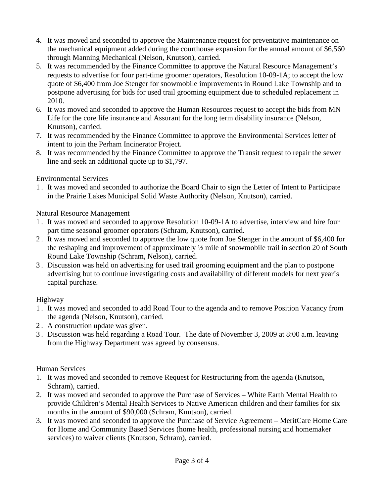- 4. It was moved and seconded to approve the Maintenance request for preventative maintenance on the mechanical equipment added during the courthouse expansion for the annual amount of \$6,560 through Manning Mechanical (Nelson, Knutson), carried.
- 5. It was recommended by the Finance Committee to approve the Natural Resource Management's requests to advertise for four part-time groomer operators, Resolution 10-09-1A; to accept the low quote of \$6,400 from Joe Stenger for snowmobile improvements in Round Lake Township and to postpone advertising for bids for used trail grooming equipment due to scheduled replacement in 2010.
- 6. It was moved and seconded to approve the Human Resources request to accept the bids from MN Life for the core life insurance and Assurant for the long term disability insurance (Nelson, Knutson), carried.
- 7. It was recommended by the Finance Committee to approve the Environmental Services letter of intent to join the Perham Incinerator Project.
- 8. It was recommended by the Finance Committee to approve the Transit request to repair the sewer line and seek an additional quote up to \$1,797.

## Environmental Services

1 . It was moved and seconded to authorize the Board Chair to sign the Letter of Intent to Participate in the Prairie Lakes Municipal Solid Waste Authority (Nelson, Knutson), carried.

#### Natural Resource Management

- 1 . It was moved and seconded to approve Resolution 10-09-1A to advertise, interview and hire four part time seasonal groomer operators (Schram, Knutson), carried.
- 2 . It was moved and seconded to approve the low quote from Joe Stenger in the amount of \$6,400 for the reshaping and improvement of approximately ½ mile of snowmobile trail in section 20 of South Round Lake Township (Schram, Nelson), carried.
- 3 . Discussion was held on advertising for used trail grooming equipment and the plan to postpone advertising but to continue investigating costs and availability of different models for next year's capital purchase.

## Highway

- 1 . It was moved and seconded to add Road Tour to the agenda and to remove Position Vacancy from the agenda (Nelson, Knutson), carried.
- 2 . A construction update was given.
- 3 . Discussion was held regarding a Road Tour. The date of November 3, 2009 at 8:00 a.m. leaving from the Highway Department was agreed by consensus.

## Human Services

- 1. It was moved and seconded to remove Request for Restructuring from the agenda (Knutson, Schram), carried.
- 2. It was moved and seconded to approve the Purchase of Services White Earth Mental Health to provide Children's Mental Health Services to Native American children and their families for six months in the amount of \$90,000 (Schram, Knutson), carried.
- 3. It was moved and seconded to approve the Purchase of Service Agreement MeritCare Home Care for Home and Community Based Services (home health, professional nursing and homemaker services) to waiver clients (Knutson, Schram), carried.